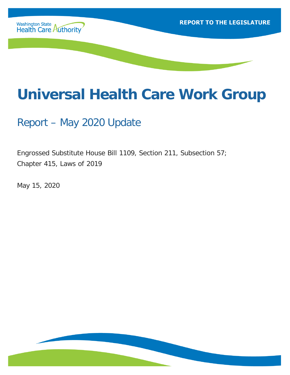

# **Universal Health Care Work Group**

Report – May 2020 Update

Engrossed Substitute House Bill 1109, Section 211, Subsection 57; Chapter 415, Laws of 2019

May 15, 2020

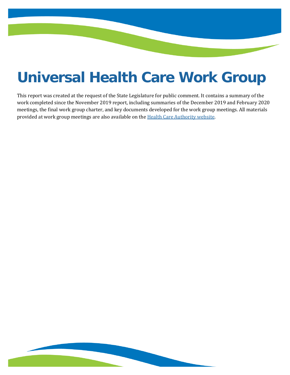# **Universal Health Care Work Group**

This report was created at the request of the State Legislature for public comment. It contains a summary of the work completed since the November 2019 report, including summaries of the December 2019 and February 2020 meetings, the final work group charter, and key documents developed for the work group meetings. All materials provided at work group meetings are also available on the [Health Care Authority website.](https://www.hca.wa.gov/about-hca/healthier-washington/universal-health-care-work-group)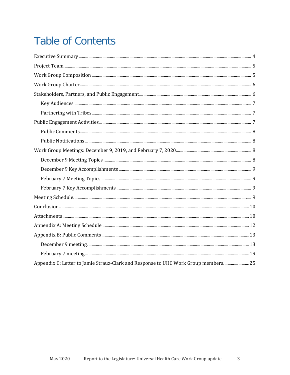## **Table of Contents**

| Appendix C: Letter to Jamie Strauz-Clark and Response to UHC Work Group members 25 |  |
|------------------------------------------------------------------------------------|--|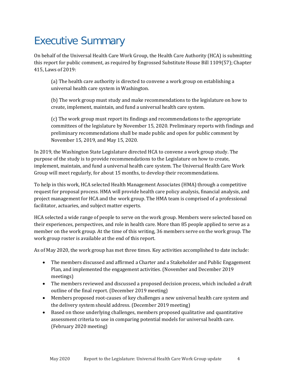## <span id="page-3-0"></span>Executive Summary

On behalf of the Universal Health Care Work Group, the Health Care Authority (HCA) is submitting this report for public comment, as required by Engrossed Substitute House Bill 1109(57); Chapter 415, Laws of 2019:

(a) The health care authority is directed to convene a work group on establishing a universal health care system in Washington.

(b) The work group must study and make recommendations to the legislature on how to create, implement, maintain, and fund a universal health care system.

(c) The work group must report its findings and recommendations to the appropriate committees of the legislature by November 15, 2020. Preliminary reports with findings and preliminary recommendations shall be made public and open for public comment by November 15, 2019, and May 15, 2020.

In 2019, the Washington State Legislature directed HCA to convene a work group study. The purpose of the study is to provide recommendations to the Legislature on how to create, implement, maintain, and fund a universal health care system. The Universal Health Care Work Group will meet regularly, for about 15 months, to develop their recommendations.

To help in this work, HCA selected Health Management Associates (HMA) through a competitive request for proposal process. HMA will provide health care policy analysis, financial analysis, and project management for HCA and the work group. The HMA team is comprised of a professional facilitator, actuaries, and subject matter experts.

HCA selected a wide range of people to serve on the work group. Members were selected based on their experiences, perspectives, and role in health care. More than 85 people applied to serve as a member on the work group. At the time of this writing, 36 members serve on the work group. The work group roster is available at the end of this report.

As of May 2020, the work group has met three times. Key activities accomplished to date include:

- The members discussed and affirmed a Charter and a Stakeholder and Public Engagement Plan, and implemented the engagement activities. (November and December 2019 meetings)
- The members reviewed and discussed a proposed decision process, which included a draft outline of the final report. (December 2019 meeting)
- Members proposed root-causes of key challenges a new universal health care system and the delivery system should address. (December 2019 meeting)
- Based on those underlying challenges, members proposed qualitative and quantitative assessment criteria to use in comparing potential models for universal health care. (February 2020 meeting)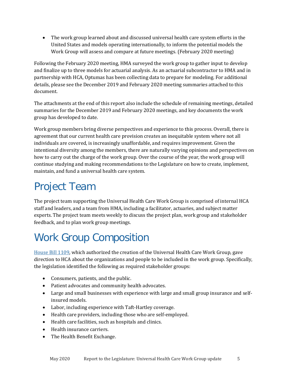• The work group learned about and discussed universal health care system efforts in the United States and models operating internationally, to inform the potential models the Work Group will assess and compare at future meetings. (February 2020 meeting)

Following the February 2020 meeting, HMA surveyed the work group to gather input to develop and finalize up to three models for actuarial analysis. As an actuarial subcontractor to HMA and in partnership with HCA, Optumas has been collecting data to prepare for modeling. For additional details, please see the December 2019 and February 2020 meeting summaries attached to this document.

The attachments at the end of this report also include the schedule of remaining meetings, detailed summaries for the December 2019 and February 2020 meetings, and key documents the work group has developed to date.

Work group members bring diverse perspectives and experience to this process. Overall, there is agreement that our current health care provision creates an inequitable system where not all individuals are covered, is increasingly unaffordable, and requires improvement. Given the intentional diversity among the members, there are naturally varying opinions and perspectives on how to carry out the charge of the work group. Over the course of the year, the work group will continue studying and making recommendations to the Legislature on how to create, implement, maintain, and fund a universal health care system.

## <span id="page-4-0"></span>Project Team

The project team supporting the Universal Health Care Work Group is comprised of internal HCA staff and leaders, and a team from HMA, including a facilitator, actuaries, and subject matter experts. The project team meets weekly to discuss the project plan, work group and stakeholder feedback, and to plan work group meetings.

## <span id="page-4-1"></span>Work Group Composition

[House Bill 1109,](http://lawfilesext.leg.wa.gov/biennium/2019-20/Pdf/Bills/Session%20Laws/House/1109-S.SL.pdf?q=20200430120557) which authorized the creation of the Universal Health Care Work Group, gave direction to HCA about the organizations and people to be included in the work group. Specifically, the legislation identified the following as required stakeholder groups:

- Consumers, patients, and the public.
- Patient advocates and community health advocates.
- Large and small businesses with experience with large and small group insurance and selfinsured models.
- Labor, including experience with Taft-Hartley coverage.
- Health care providers, including those who are self-employed.
- Health care facilities, such as hospitals and clinics.
- Health insurance carriers.
- The Health Benefit Exchange.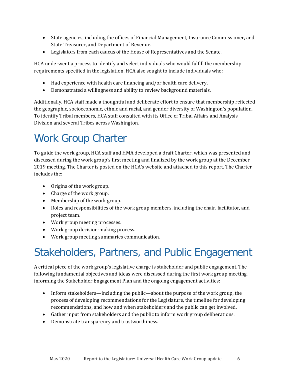- State agencies, including the offices of Financial Management, Insurance Commissioner, and State Treasurer, and Department of Revenue.
- Legislators from each caucus of the House of Representatives and the Senate.

HCA underwent a process to identify and select individuals who would fulfill the membership requirements specified in the legislation. HCA also sought to include individuals who:

- Had experience with health care financing and/or health care delivery.
- Demonstrated a willingness and ability to review background materials.

Additionally, HCA staff made a thoughtful and deliberate effort to ensure that membership reflected the geographic, socioeconomic, ethnic and racial, and gender diversity of Washington's population. To identify Tribal members, HCA staff consulted with its Office of Tribal Affairs and Analysis Division and several Tribes across Washington.

## <span id="page-5-0"></span>Work Group Charter

To guide the work group, HCA staff and HMA developed a draft Charter, which was presented and discussed during the work group's first meeting and finalized by the work group at the December 2019 meeting. The Charter is posted on the HCA's website and attached to this report. The Charter includes the:

- Origins of the work group.
- Charge of the work group.
- Membership of the work group.
- Roles and responsibilities of the work group members, including the chair, facilitator, and project team.
- Work group meeting processes.
- Work group decision-making process.
- Work group meeting summaries communication.

## <span id="page-5-1"></span>Stakeholders, Partners, and Public Engagement

A critical piece of the work group's legislative charge is stakeholder and public engagement. The following fundamental objectives and ideas were discussed during the first work group meeting, informing the Stakeholder Engagement Plan and the ongoing engagement activities:

- Inform stakeholders—including the public—about the purpose of the work group, the process of developing recommendations for the Legislature, the timeline for developing recommendations, and how and when stakeholders and the public can get involved.
- Gather input from stakeholders and the public to inform work group deliberations.
- Demonstrate transparency and trustworthiness.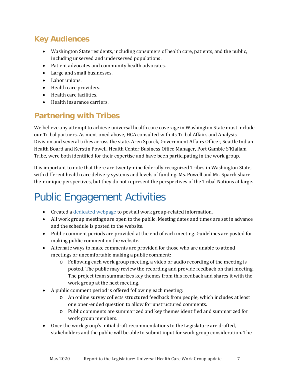### <span id="page-6-0"></span>**Key Audiences**

- Washington State residents, including consumers of health care, patients, and the public, including unserved and underserved populations.
- Patient advocates and community health advocates.
- Large and small businesses.
- Labor unions.
- Health care providers.
- Health care facilities.
- Health insurance carriers.

### <span id="page-6-1"></span>**Partnering with Tribes**

We believe any attempt to achieve universal health care coverage in Washington State must include our Tribal partners. As mentioned above, HCA consulted with its Tribal Affairs and Analysis Division and several tribes across the state. Aren Sparck, Government Affairs Officer, Seattle Indian Health Board and Kerstin Powell, Health Center Business Office Manager, Port Gamble S'Klallam Tribe, were both identified for their expertise and have been participating in the work group.

It is important to note that there are twenty-nine federally recognized Tribes in Washington State, with different health care delivery systems and levels of funding. Ms. Powell and Mr. Sparck share their unique perspectives, but they do not represent the perspectives of the Tribal Nations at large.

## <span id="page-6-2"></span>Public Engagement Activities

- Created a [dedicated webpage](https://www.hca.wa.gov/about-hca/healthier-washington/universal-health-care-work-group) to post all work group-related information.
- All work group meetings are open to the public. Meeting dates and times are set in advance and the schedule is posted to the website.
- Public comment periods are provided at the end of each meeting. Guidelines are posted for making public comment on the website.
- Alternate ways to make comments are provided for those who are unable to attend meetings or uncomfortable making a public comment:
	- o Following each work group meeting, a video or audio recording of the meeting is posted. The public may review the recording and provide feedback on that meeting. The project team summarizes key themes from this feedback and shares it with the work group at the next meeting.
- A public comment period is offered following each meeting:
	- o An online survey collects structured feedback from people, which includes at least one open-ended question to allow for unstructured comments.
	- o Public comments are summarized and key themes identified and summarized for work group members.
- Once the work group's initial draft recommendations to the Legislature are drafted, stakeholders and the public will be able to submit input for work group consideration. The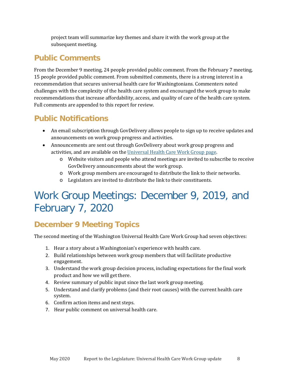project team will summarize key themes and share it with the work group at the subsequent meeting.

#### <span id="page-7-0"></span>**Public Comments**

From the December 9 meeting, 24 people provided public comment. From the February 7 meeting, 15 people provided public comment. From submitted comments, there is a strong interest in a recommendation that secures universal health care for Washingtonians. Commenters noted challenges with the complexity of the health care system and encouraged the work group to make recommendations that increase affordability, access, and quality of care of the health care system. Full comments are appended to this report for review.

#### <span id="page-7-1"></span>**Public Notifications**

- An email subscription through GovDelivery allows people to sign up to receive updates and announcements on work group progress and activities.
- Announcements are sent out through GovDelivery about work group progress and activities, and are available on the [Universal Health Care Work Group page.](https://www.hca.wa.gov/about-hca/healthier-washington/universal-health-care-work-group)
	- o Website visitors and people who attend meetings are invited to subscribe to receive GovDelivery announcements about the work group.
	- o Work group members are encouraged to distribute the link to their networks.
	- o Legislators are invited to distribute the link to their constituents.

## <span id="page-7-2"></span>Work Group Meetings: December 9, 2019, and February 7, 2020

### <span id="page-7-3"></span>**December 9 Meeting Topics**

The second meeting of the Washington Universal Health Care Work Group had seven objectives:

- 1. Hear a story about a Washingtonian's experience with health care.
- 2. Build relationships between work group members that will facilitate productive engagement.
- 3. Understand the work group decision process, including expectations for the final work product and how we will getthere.
- 4. Review summary of public input since the last work group meeting.
- 5. Understand and clarify problems (and their root causes) with the current health care system.
- 6. Confirm action items and next steps.
- 7. Hear public comment on universal health care.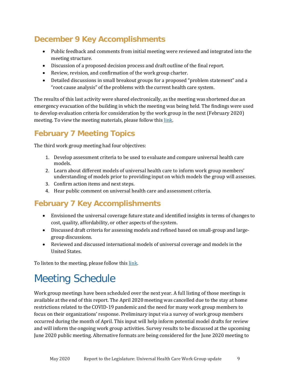### <span id="page-8-0"></span>**December 9 Key Accomplishments**

- Public feedback and comments from initial meeting were reviewed and integrated into the meeting structure.
- Discussion of a proposed decision process and draft outline of the final report.
- Review, revision, and confirmation of the work group charter.
- Detailed discussions in small breakout groups for a proposed "problem statement" and a "root cause analysis" of the problems with the current health care system.

The results of this last activity were shared electronically, as the meeting was shortened due an emergency evacuation of the building in which the meeting was being held. The findings were used to develop evaluation criteria for consideration by the work group in the next (February 2020) meeting. To view the meeting materials, please follow this [link.](https://www.youtube.com/watch?v=mXgBvCT-rsc&feature=youtu.be)

### <span id="page-8-1"></span>**February 7 Meeting Topics**

The third work group meeting had four objectives:

- 1. Develop assessment criteria to be used to evaluate and compare universal health care models.
- 2. Learn about different models of universal health care to inform work group members' understanding of models prior to providing input on which models the group will assesses.
- 3. Confirm action items and next steps.
- 4. Hear public comment on universal health care and assessment criteria.

#### <span id="page-8-2"></span>**February 7 Key Accomplishments**

- Envisioned the universal coverage future state and identified insights in terms of changes to cost, quality, affordability, or other aspects of the system.
- Discussed draft criteria for assessing models and refined based on small-group and largegroup discussions.
- Reviewed and discussed international models of universal coverage and models in the United States.

To listen to the meeting, please follow this [link.](https://www.youtube.com/watch?v=LgbQ08LyVnc&feature=youtu.be)

## <span id="page-8-3"></span>Meeting Schedule

Work group meetings have been scheduled over the next year. A full listing of those meetings is available at the end of this report. The April 2020 meeting was cancelled due to the stay at home restrictions related to the COVID-19 pandemic and the need for many work group members to focus on their organizations' response. Preliminary input via a survey of work group members occurred during the month of April. This input will help inform potential model drafts for review and will inform the ongoing work group activities. Survey results to be discussed at the upcoming June 2020 public meeting. Alternative formats are being considered for the June 2020 meeting to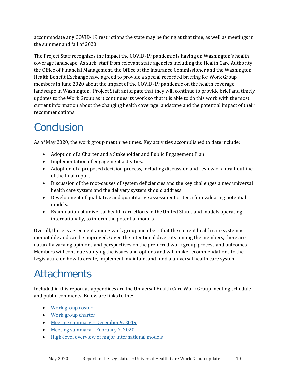accommodate any COVID-19 restrictions the state may be facing at that time, as well as meetings in the summer and fall of 2020.

The Project Staff recognizes the impact the COVID-19 pandemic is having on Washington's health coverage landscape. As such, staff from relevant state agencies including the Health Care Authority, the Office of Financial Management, the Office of the Insurance Commissioner and the Washington Health Benefit Exchange have agreed to provide a special recorded briefing for Work Group members in June 2020 about the impact of the COVID-19 pandemic on the health coverage landscape in Washington. Project Staff anticipate that they will continue to provide brief and timely updates to the Work Group as it continues its work so that it is able to do this work with the most current information about the changing health coverage landscape and the potential impact of their recommendations.

## <span id="page-9-0"></span>Conclusion

As of May 2020, the work group met three times. Key activities accomplished to date include:

- Adoption of a Charter and a Stakeholder and Public Engagement Plan.
- Implementation of engagement activities.
- Adoption of a proposed decision process, including discussion and review of a draft outline of the final report.
- Discussion of the root-causes of system deficiencies and the key challenges a new universal health care system and the delivery system should address.
- Development of qualitative and quantitative assessment criteria for evaluating potential models.
- Examination of universal health care efforts in the United States and models operating internationally, to inform the potential models.

Overall, there is agreement among work group members that the current health care system is inequitable and can be improved. Given the intentional diversity among the members, there are naturally varying opinions and perspectives on the preferred work group process and outcomes. Members will continue studying the issues and options and will make recommendations to the Legislature on how to create, implement, maintain, and fund a universal health care system.

## <span id="page-9-1"></span>**Attachments**

Included in this report as appendices are the Universal Health Care Work Group meeting schedule and public comments. Below are links to the:

- [Work group roster](https://www.hca.wa.gov/assets/program/universal-health-care-workgroup-roster.pdf)
- [Work group charter](https://www.hca.wa.gov/assets/program/universal-health-care-work-group-charter.pdf)
- [Meeting summary –](https://www.hca.wa.gov/assets/program/universal-health-care-work-group-meeting-summary-dec-9.pdf) December 9, 2019
- [Meeting summary –](https://www.hca.wa.gov/assets/program/universal-health-care-work-group-meeting-summary-feb-7.pdf) February 7, 2020
- [High-level overview of major international models](https://www.hca.wa.gov/assets/program/major-final-frameworks-international-models.pdf)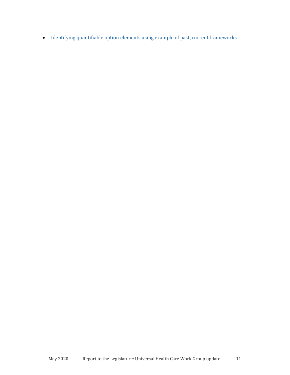• [Identifying quantifiable option elements using example of past, current frameworks](https://www.hca.wa.gov/assets/program/comparison-of-universal-health-care-model-elements.pdf)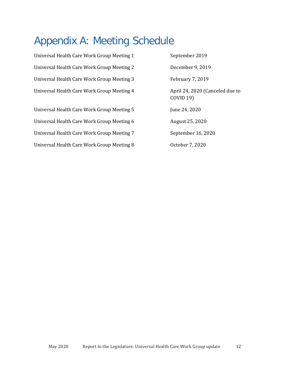## <span id="page-11-0"></span>Appendix A: Meeting Schedule

| Universal Health Care Work Group Meeting 1 | September 2019                                      |
|--------------------------------------------|-----------------------------------------------------|
| Universal Health Care Work Group Meeting 2 | December 9, 2019                                    |
| Universal Health Care Work Group Meeting 3 | February 7, 2019                                    |
| Universal Health Care Work Group Meeting 4 | April 24, 2020 (Canceled due to<br><b>COVID 19)</b> |
| Universal Health Care Work Group Meeting 5 | June 24, 2020                                       |
| Universal Health Care Work Group Meeting 6 | August 25, 2020                                     |
| Universal Health Care Work Group Meeting 7 | September 16, 2020                                  |
| Universal Health Care Work Group Meeting 8 | October 7, 2020                                     |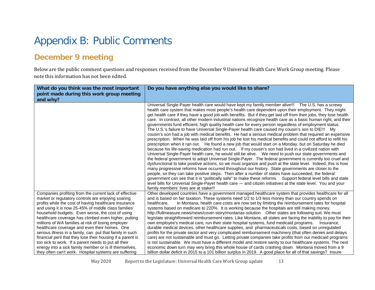### Appendix B: Public Comments

#### **December 9 meeting**

Below are the public comment questions and responses received from the December 9 Universal Health Care Work Group meeting. Please note this information has not been edited.

<span id="page-12-1"></span><span id="page-12-0"></span>

| What do you think was the most important<br>point made during this work group meeting<br>and why?                                                                                                                                                                                                                                                                                                                                                                                                                                                                                                                                                                                                                                                      | Do you have anything else you would like to share?                                                                                                                                                                                                                                                                                                                                                                                                                                                                                                                                                                                                                                                                                                                                                                                                                                                                                                                                                                                                                                                                                                                                                                                                                                                                                                                                                                                                                                                                                                                                                                                                                                                                                                                                                                                                                                                                                                 |
|--------------------------------------------------------------------------------------------------------------------------------------------------------------------------------------------------------------------------------------------------------------------------------------------------------------------------------------------------------------------------------------------------------------------------------------------------------------------------------------------------------------------------------------------------------------------------------------------------------------------------------------------------------------------------------------------------------------------------------------------------------|----------------------------------------------------------------------------------------------------------------------------------------------------------------------------------------------------------------------------------------------------------------------------------------------------------------------------------------------------------------------------------------------------------------------------------------------------------------------------------------------------------------------------------------------------------------------------------------------------------------------------------------------------------------------------------------------------------------------------------------------------------------------------------------------------------------------------------------------------------------------------------------------------------------------------------------------------------------------------------------------------------------------------------------------------------------------------------------------------------------------------------------------------------------------------------------------------------------------------------------------------------------------------------------------------------------------------------------------------------------------------------------------------------------------------------------------------------------------------------------------------------------------------------------------------------------------------------------------------------------------------------------------------------------------------------------------------------------------------------------------------------------------------------------------------------------------------------------------------------------------------------------------------------------------------------------------------|
|                                                                                                                                                                                                                                                                                                                                                                                                                                                                                                                                                                                                                                                                                                                                                        | Universal Single-Payer health care would have kept my family member alive!!! The U.S. has a screwy<br>health care system that makes most people's health care dependent upon their employment. They might<br>get health care if they have a good job with benefits. But if they get laid off from their jobs, they lose health<br>care. In contrast, all other modern industrial nations recognize health care as a basic human right, and their<br>governments fund efficient, high quality health care for every person regardless of employment status.<br>The U.S.'s failure to have Universal Single-Payer health care caused my cousin's son to DIE!!! My<br>cousin's son had a job with medical benefits. He had a serious medical problem that required an expensive<br>prescription. When he was laid off from his job he lost his medical benefits and could not afford to refill his<br>prescription when it ran out. He found a new job that would start on a Monday, but on Saturday he died<br>because his life-saving medication had run out. If my cousin's son had lived in a civilized nation with<br>Universal Single-Payer health care, he would still be alive. We need to push our state governments and<br>the federal government to adopt Universal Single-Payer. The federal government is currently too cruel and<br>dysfunctional to take positive actions, so we must organize and push at the state level. Indeed, this is how<br>many progressive reforms have occurred throughout our history. State governments are closer to the<br>people, so they can take positive steps. Then after a number of states have succeeded, the federal<br>government can see that it is "politically safe" to make these reforms. Support federal level bills and state<br>level bills for Universal Single-Payer health care — and citizen initiatives at the state level. You and your<br>family members' lives are at stake!!! |
| Companies profiting from the current lack of effective<br>market or regulatory controls are enjoying soaring<br>profits while the cost of having healthcare insurance<br>and using it is now 25-45% of middle class families'<br>household budgets. Even worse, the cost of using<br>healthcare coverage has climbed even higher, putting<br>millions of WA families at risk of losing employer<br>healthcare coverage and even their homes. One<br>serious illness in a family, can put that family in such<br>financial peril that they lose their housing if a parent is<br>too sick to work. If a parent needs to put all their<br>energy into a sick family member or is ill themselves,<br>they often can't work. Hospital systems are suffering | Other developed countries have a government managed healthcare system that provides healthcare for all<br>and is based on fair taxation. These systems need 1/2 to 1/3 less money than our country spends on<br>In Montana, health care costs are now set by limiting the reimbursement rates for hospital<br>healthcare.<br>systems based on medicare to 220%. It is working because the hospitals are still making money.<br>http://fullmeasure.news/news/cover-story/montanas-solution Other states are following suit. We must<br>legislate straightforward reimbursement rates. Like Montana, all states are facing the inability to pay for their<br>own employee's medical care, run their state hospital systems, fund medicaid programs.<br>Insurance.<br>durable medical devices, other healthcare supplies, and pharmaceuticals costs, based on unregulated<br>profits for the private sector and very complicated reimbursement machinery (that often denies and delays<br>care) are not sustainable and must go. Letting private companies take profits from our medicaid programs<br>is not sustainable. We must have a different model and restore sanity to our healthcare systems. The next<br>economic down turn may very bring this whole house of cards crashing down. Montana moved from a 9<br>billion dollar deficit in 2015 to a 101 billion surplus in 2019. A good place for all of that savings? Insure                                                                                                                                                                                                                                                                                                                                                                                                                                                                                                                 |

May 2020 Report to the Legislature: Universal Health Care Work Group update 13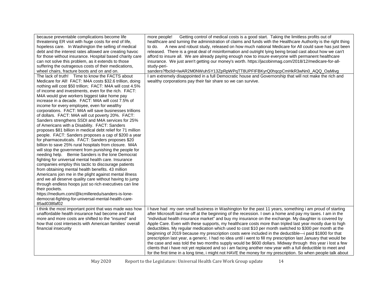| because preventable complications become life<br>threatening ER visit with huge costs for end of life,<br>hopeless care. In Washington the selling of medical<br>debt and the interest rates allowed are creating havoc<br>for those without insurance. Hospital based charity care<br>can not solve this problem, as it extends to those<br>suffering the outrageous costs of their medications,<br>wheel chairs, fracture boots and on and on.                                                                                                                                                                                                                                                                                                                                                                                                                                                                                                                                                                                                                                                                                                                                                                                                                                                                                                                                                                                                           | Getting control of medical costs is a good start. Taking the limitless profits out of<br>more people!<br>healthcare and turning the administration of claims and funds with the Healthcare Authority is the right thing<br>A new and robust study, released on how much national Medicare for All could save has just been<br>to do.<br>released. There is a great deal of misinformation and outright lying being broad cast about how we can't<br>afford to insure all. We are already paying enough now to insure everyone with permanent healthcare<br>insurance. We just aren't getting our money's worth. https://jacobinmag.com/2018/12/medicare-for-all-<br>study-peri-<br>sanders?fbclid=IwAR2M0NWuhSY13ZpRpWPqTT8UPFIFBKyrQ0hqcpCmHkR3wNn0_AQQ_OaMivg                                                                                                                                                                                                                                                                                                                                                              |
|------------------------------------------------------------------------------------------------------------------------------------------------------------------------------------------------------------------------------------------------------------------------------------------------------------------------------------------------------------------------------------------------------------------------------------------------------------------------------------------------------------------------------------------------------------------------------------------------------------------------------------------------------------------------------------------------------------------------------------------------------------------------------------------------------------------------------------------------------------------------------------------------------------------------------------------------------------------------------------------------------------------------------------------------------------------------------------------------------------------------------------------------------------------------------------------------------------------------------------------------------------------------------------------------------------------------------------------------------------------------------------------------------------------------------------------------------------|------------------------------------------------------------------------------------------------------------------------------------------------------------------------------------------------------------------------------------------------------------------------------------------------------------------------------------------------------------------------------------------------------------------------------------------------------------------------------------------------------------------------------------------------------------------------------------------------------------------------------------------------------------------------------------------------------------------------------------------------------------------------------------------------------------------------------------------------------------------------------------------------------------------------------------------------------------------------------------------------------------------------------------------------------------------------------------------------------------------------------|
| The lack of truth! Time to know the FACTS about<br>Medicare for All! FACT: M4A costs \$32.6 trillion, doing<br>nothing will cost \$50 trillion; FACT: M4A will cost 4.5%<br>of income and investments, even for the rich. FACT:<br>M4A would give workers biggest take home pay<br>increase in a decade. FACT: M4A will cost 7.5% of<br>income for every employee, even for wealthy<br>corporations. FACT: M4A will save businesses trillions<br>of dollars. FACT: M4A will cut poverty 20%. FACT:<br>Sanders strengthens SSDI and M4A services for 25%<br>of Americans with a Disability. FACT: Sanders<br>proposes \$81 billion in medical debt relief for 71 million<br>people. FACT: Sanders proposes a cap of \$200 a year<br>for pharmaceuticals. FACT: Sanders proposes \$20<br>billion to save 25% rural hospitals from closure. M4A<br>will stop the government from punishing the people for<br>needing help. Bernie Sanders is the lone Democrat<br>fighting for universal mental health care. Insurance<br>companies employ this tactic to discourage patients<br>from obtaining mental health benefits. 43 million<br>Americans join me in the plight against mental illness<br>and we all deserve quality care without having to jump<br>through endless hoops just so rich executives can line<br>their pockets.<br>https://medium.com/@kcmilleredu/sanders-is-lone-<br>democrat-fighting-for-universal-mental-health-care-<br>85ad038faf02 | I am extremely disappointed in a full Democratic house and Governorship that will not make the rich and<br>wealthy corporations pay their fair share so we can survive.                                                                                                                                                                                                                                                                                                                                                                                                                                                                                                                                                                                                                                                                                                                                                                                                                                                                                                                                                      |
| I think the most important point that was made was how<br>unaffordable health insurance had become and that<br>more and more costs are shifted to the "insured" and<br>how that cost intersects with American families' overall<br>financial insecurity                                                                                                                                                                                                                                                                                                                                                                                                                                                                                                                                                                                                                                                                                                                                                                                                                                                                                                                                                                                                                                                                                                                                                                                                    | I have had my own small business in Washington for the past 11 years, something i am proud of starting<br>after Microsoft laid me off at the beginning of the recession. I own a home and pay my taxes. I am in the<br>"individual health insurance market" and buy my insurance on the exchange. My daughter is covered by<br>Apple Care. Even with these supports, my healthcare costs more than tripled last year mostly due to high<br>deductibles. My regular medication which used to cost \$10 per month switched to \$300 per month at the<br>beginning of 2019 because my prescription costs were included in the deductible—i paid \$1800 for that<br>prescription last year, a generic. I had no idea until i went to fill my prescription last January that would be<br>the case and was told the two months supply would be \$600 dollars. Midway through this year i lost a few<br>clients that i have not yet replaced and so i am facing another new year with a full deductible to meet and<br>for the first time in a long time, i might not HAVE the money for my prescription. So when people talk about |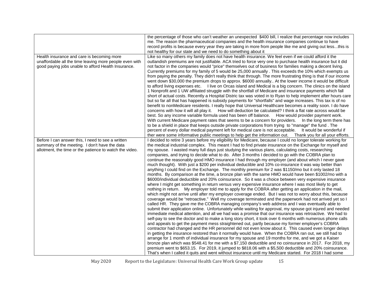|                                                         | the percentage of those who can't weather an unexpected \$400 bill, I realize that percentage now includes                                                                                                                     |
|---------------------------------------------------------|--------------------------------------------------------------------------------------------------------------------------------------------------------------------------------------------------------------------------------|
|                                                         | me. The reason the pharmaceutical companies and the health insurance companies continue to have                                                                                                                                |
|                                                         | record profits is because every year they are taking in more from people like me and giving out lessthis is                                                                                                                    |
|                                                         | not healthy for our state and we need to do something about it                                                                                                                                                                 |
| Health insurance and care is becoming more              | Like so many others my family does not have health insurance. We feel even if we could afford it the                                                                                                                           |
| unaffordable all the time leaving more people even with | outlandish premiums are not justifiable. ACA tried to force very one to purchase health insurance but it did                                                                                                                   |
| good paying jobs unable to afford Health Insurance.     | not factor in the companies would "price" themselves out of business for families making a decent living.                                                                                                                      |
|                                                         | Currently premiums for my family of 5 would be 25,000 annually. This exceeds the 10% which exempts us                                                                                                                          |
|                                                         | from paying the penalty. They didn't really think that through. The more frustrating thing is that if our income                                                                                                               |
|                                                         | went down \$30,000 the premium drops to approx. \$6000 annually At the lower income it would be difficult                                                                                                                      |
|                                                         | to afford living expenses etc. I live on Orcas island and Medical is a big concern. The clinics on the island                                                                                                                  |
|                                                         | 1 Nonprofit and 1 UW affiliated struggle with the shortfall of Medicare and insurance payments which fall                                                                                                                      |
|                                                         | short of actual costs. Recently a Hospital Distric tax was voted in to Ryan to help implement after hours care                                                                                                                 |
|                                                         | but so far all that has happened is subsidy payments for "shortfalls" and wage increases. This tax is of no                                                                                                                    |
|                                                         | benefit to nonMedicare residents. I really hope that Universal Healthcare becomes a reality soon. I do have                                                                                                                    |
|                                                         | concerns with how it will all play it. How will deduction be calculated? I think a flat rate across would be                                                                                                                   |
|                                                         | best. So any income variable formula used has been off balance. How would provider payment work.                                                                                                                               |
|                                                         | With current Medicare payment rates that seems to be a concern for providers.  In the long term there has                                                                                                                      |
|                                                         | to be a shield in place that keeps outside private corporations from trying to "manage" the fund. The                                                                                                                          |
|                                                         | percent of every dollar medical payment left for medical care is not acceptable. It would be wonderful if                                                                                                                      |
| Before I can answer this, I need to see a written       | ther were some informative public meetings to help get the information out.  Thank you for all your efforts.<br>I decided to retire 3 years before my eligibility for Medicare, because I could no longer tolerate working for |
| summary of the meeting. I don't have the data           | the medical industrial complex. This meant I had to find private insurance on the Exchange for myself and                                                                                                                      |
| allotment, the time or the patience to watch the video. | my spouse. I wasted many full days just studying the various plans, calculating costs, researching                                                                                                                             |
|                                                         | companies, and trying to decide what to do. After 3 months I decided to go with the COBRA plan to                                                                                                                              |
|                                                         | continue the reasonably good HMO insurance I had through my employer (and about which I never gave                                                                                                                             |
|                                                         | much thought). With just a \$200 per individual deductible and 10% co-insurance it was way better than                                                                                                                         |
|                                                         | anything I could find on the Exchange. The monthly premium for 2 was \$1150/mo but it only lasted 18                                                                                                                           |
|                                                         | months. By comparison at the time, a bronze plan with the same HMO would have been \$1002/mo with a                                                                                                                            |
|                                                         | \$6000/individual deductible and 20% coinsurance. So it was a choice between very expensive insurance                                                                                                                          |
|                                                         | where I might get something in return versus very expensive insurance where I was most likely to get                                                                                                                           |
|                                                         | nothing in return. My employer told me to apply for the COBRA after getting an application in the mail,                                                                                                                        |
|                                                         | which might not arrive until after my employer coverage ended. But I was not to worry about this, because                                                                                                                      |
|                                                         | coverage would be "retroactive." Well my coverage terminated and the paperwork had not arrived yet so I                                                                                                                        |
|                                                         | called HR. They gave me the COBRA managing company's web address and I was eventually able to                                                                                                                                  |
|                                                         | submit their application online. Unfortunately while waiting for approval, my spouse got injured and needed                                                                                                                    |
|                                                         | immediate medical attention, and all we had was a promise that our insurance was retroactive. We had to                                                                                                                        |
|                                                         | self-pay to see the doctor and to make a long story short, it took over 6 months with numerous phone calls                                                                                                                     |
|                                                         | and appeals to get the payment mess straightened out, partly because my former employer's COBRA                                                                                                                                |
|                                                         | contractor had changed and the HR personnel did not even know about it. This caused even longer delays                                                                                                                         |
|                                                         | in getting the insurance restored than it normally would have. When the COBRA ran out, we still had to                                                                                                                         |
|                                                         | arrange for 1 month of individual insurance for my spouse and 19 months for me, and we got a Kaiser                                                                                                                            |
|                                                         | bronze plan which was \$548.41 for me with a \$7,150 deductible and no coinsurance in 2017. For 2018, my                                                                                                                       |
|                                                         | premium went to \$653.15. For 2019, it jumped to \$818.06 with a \$5,500 deductible and 20% coinsurance.                                                                                                                       |
|                                                         | That's when I called it quits and went without insurance until my Medicare started. For 2018 I had some                                                                                                                        |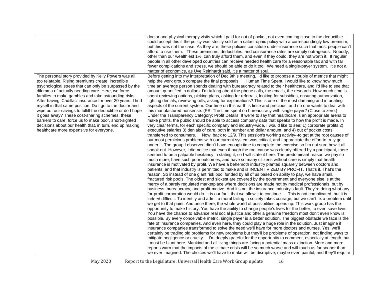|                                                                                                                                                                                                                                                                                                                                                                                                                                                                                                                                                                                                                                                                                          | doctor and physical therapy visits which I paid for out of pocket, not even coming close to the deductible. I<br>could accept this if the policy was strictly sold as a catastrophic policy with a correspondingly low premium,<br>but this was not the case. As they are, these policies constitute under-insurance such that most people can't<br>afford to use them. These premiums, deductibles, and coinsurance rates are simply outrageous. Nobody,<br>other than our wealthiest 1%, can truly afford them, and even if they could, they are not worth it. If regular<br>people in all other developed countries can receive needed health care for a reasonable tax and with far<br>fewer complications and stress, we should be able to do it too! We need a single-payer system. It's not a<br>matter of economics, as Uve Reinhardt said, it's a matter of soul.                                                                                                                                                                                                                                                                                                                                                                                                                                                                                                                                                                                                                                                                                                                                                                                                                                                                                                                                                                                                                                                                                                                                                                                                                                                                                                                                                                                                                                                                                                                                                                                                                                                                                                                                                                                                                                                                                                                                                                                                                                                                                                                                                                                                                                                                                                                                                                                                                                                                                                                                                                                                                                                                                                                                                                                                                                                                                                                                                                                                                                                                                                                                                                                                                                                                                                                           |
|------------------------------------------------------------------------------------------------------------------------------------------------------------------------------------------------------------------------------------------------------------------------------------------------------------------------------------------------------------------------------------------------------------------------------------------------------------------------------------------------------------------------------------------------------------------------------------------------------------------------------------------------------------------------------------------|------------------------------------------------------------------------------------------------------------------------------------------------------------------------------------------------------------------------------------------------------------------------------------------------------------------------------------------------------------------------------------------------------------------------------------------------------------------------------------------------------------------------------------------------------------------------------------------------------------------------------------------------------------------------------------------------------------------------------------------------------------------------------------------------------------------------------------------------------------------------------------------------------------------------------------------------------------------------------------------------------------------------------------------------------------------------------------------------------------------------------------------------------------------------------------------------------------------------------------------------------------------------------------------------------------------------------------------------------------------------------------------------------------------------------------------------------------------------------------------------------------------------------------------------------------------------------------------------------------------------------------------------------------------------------------------------------------------------------------------------------------------------------------------------------------------------------------------------------------------------------------------------------------------------------------------------------------------------------------------------------------------------------------------------------------------------------------------------------------------------------------------------------------------------------------------------------------------------------------------------------------------------------------------------------------------------------------------------------------------------------------------------------------------------------------------------------------------------------------------------------------------------------------------------------------------------------------------------------------------------------------------------------------------------------------------------------------------------------------------------------------------------------------------------------------------------------------------------------------------------------------------------------------------------------------------------------------------------------------------------------------------------------------------------------------------------------------------------------------------------------------------------------------------------------------------------------------------------------------------------------------------------------------------------------------------------------------------------------------------------------------------------------------------------------------------------------------------------------------------------------------------------------------------------------------------------------------------------------------------------------------------------------------------------------------------------------------------------------------------------------------------------------------------------------------------------------------------------------------------------------------------------------------------------------------------------------------------------------------------------------------------------------------------------------------------------------------------------------------------------------------------------------------------------------------------------------|
| The personal story provided by Kelly Powers was all<br>too relatable. Rising premiums create incredible<br>psychological stress that can only be surpassed by the<br>dilemma of actually needing care. Here, we force<br>families to make gambles and take astounding risks.<br>After having 'Cadillac' insurance for over 20 years, I find<br>myself in that same position. Do I go to the doctor and<br>wipe out our savings to fulfill the deductible or do I hope<br>it goes away? These cost-sharing schemes, these<br>barriers to care, force us to make poor, short-sighted<br>decisions about our health that, in turn, end up making<br>healthcare more expensive for everyone. | Before getting into my interpretation of Dec 9th's meeting, I'd like to propose a couple of metrics that might<br>help the work group compare the final proposals. Human Time Spent. I would like to know how much<br>time an average person spends dealing with bureaucracy related to their healthcare, and I'd like to see that<br>amount quantified in dollars. I'm talking about the phone calls, the emails, the research. How much time is<br>spent reviewing options, picking plans, asking for referrals, looking for subsidies, ensuring authorization,<br>fighting denials, reviewing bills, asking for explanations? This is one of the most damning and infuriating<br>aspects of the current system. Our time on this earth is finite and precious, and no one wants to deal with<br>this manufactured nonsense. (PS. The time spent on bureaucracy with single payer? (Close to zero.)<br>Under the Transparency Category: Profit Details. If we're to say that healthcare is an appropriate arena to<br>make profits, the public should be able to access company data that speaks to how the profit is made. In<br>very clear terms, for each specific company and industry-wide, I would like to see: 1) corporate profits 2)<br>executive salaries 3) denials of care, both in number and dollar amount, and 4) out of pocket costs<br>transferred to consumers. Now, back to 12/9. This session's working activity--to get at the root causes of<br>our most pernicious problems with our current system was critical, and I appreciate the effort to truly get<br>under it. The group I observed didn't have enough time to complete the exercise so I'm not sure how it all<br>shook out. However, I did notice that even though the root cause was clearly offered by a participant, there<br>seemed to be a palpable hesitancy in stating it, so I will state it here. The predominant reason we pay so<br>much more, have such poor outcomes, and have so many citizens without care is simply that health<br>insurance is motivated by profit. We have a behemoth industry planted squarely between doctors and<br>patients, and that industry is permitted to make and is INCENTIVIZED BY PROFIT. That's it. That's the<br>reason. So instead of one giant risk pool funded by all of us based on ability to pay, we have small,<br>fractured risk pools. The oldest and sickest are covered by the government and everyone else is at the<br>mercy of a barely regulated marketplace where decisions are made not by medical professionals, but by<br>business, bureaucracy, and profit-motive. And it's not the insurance industry's fault. They're doing what any<br>for-profit corporation would do. It is our fault that we allow it to continue. This is not complicated, but it is<br>indeed difficult. To identify and admit a moral failing in society takes courage, but we can't fix a problem until<br>we get to that point. And once there, the whole world of possibilities opens up. This work group has the<br>opportunity to make history. You have the ability to change people's lives for the better, to even save lives.<br>You have the chance to advance real social justice and offer a genuine freedom most don't even know is<br>possible. By every conceivable metric, single payer is a better solution. The biggest obstacle we face is the<br>fate of insurance companies. And even here, they could play a huge role in the solution. Just imagine if<br>insurance companies transformed to solve the need we'll have for more doctors and nurses. Yes, we'll<br>certainly be trading old problems for new problems but they'll be problems of operation, not finding ways to<br>mitigate negligence or cruelty. I'm deeply grateful for the opportunity to comment, especially at length, but<br>I must be blunt here. Mankind and all living things are facing a potential mass extinction. More and more<br>reports warn that the impacts of the climate crisis will be so much worse and will touch us far sooner than<br>we ever imagined. The choices we'll have to make will be disruptive, maybe even painful, and they'll require |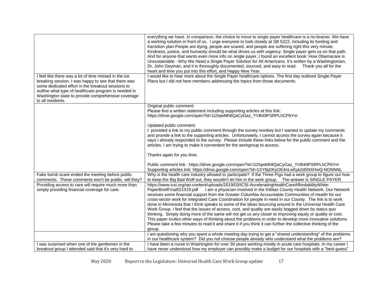| I feel like there was a lot of time missed in the ice<br>breaking session. I was happy to see that there was                                                                                                     | everything we have. In comparison, the choice to move to single payer healthcare is a no-brainer. We have<br>a working solution in front of us. I urge everyone to look closely at SB 5222, including its funding and<br>transition plan. People are dying, people are scared, and people are suffering right this very minute.<br>Kindness, justice, and humanity should be what drives us with urgency. Single payer gets us on that path.<br>And for anyone that wants even more info on single payer, I found an excellent book: How Obamacare is<br>Unsustainable - Why We Need a Single Payer Solution for All Americans. It's written by a Washingtonian,<br>Dr. John Geyman, and it is thoroughly documented, sourced, and easy to read.<br>Thank you all for the<br>heart and time you put into this effort, and Happy New Year.<br>I would like to hear more about the Single Payer healthcare options. The first day outlined Single Payer<br>Plans but I did not here members addressing the topics from those documents.                                                                                                                                                                                                                                                                                                     |
|------------------------------------------------------------------------------------------------------------------------------------------------------------------------------------------------------------------|-------------------------------------------------------------------------------------------------------------------------------------------------------------------------------------------------------------------------------------------------------------------------------------------------------------------------------------------------------------------------------------------------------------------------------------------------------------------------------------------------------------------------------------------------------------------------------------------------------------------------------------------------------------------------------------------------------------------------------------------------------------------------------------------------------------------------------------------------------------------------------------------------------------------------------------------------------------------------------------------------------------------------------------------------------------------------------------------------------------------------------------------------------------------------------------------------------------------------------------------------------------------------------------------------------------------------------------------|
| some dedicated effort in the breakout sessions to<br>outline what type of healthcare program is needed in<br>Washington state to provide comprehensive coverage<br>to all residents.                             |                                                                                                                                                                                                                                                                                                                                                                                                                                                                                                                                                                                                                                                                                                                                                                                                                                                                                                                                                                                                                                                                                                                                                                                                                                                                                                                                           |
|                                                                                                                                                                                                                  | Original public comment:<br>Please find a written statement including supporting articles at this link:<br>https://drive.google.com/open?id=1i2lqwMh8QaCyGaz_YVB49PSRPLhCPbYm                                                                                                                                                                                                                                                                                                                                                                                                                                                                                                                                                                                                                                                                                                                                                                                                                                                                                                                                                                                                                                                                                                                                                             |
|                                                                                                                                                                                                                  | Updated public comment:<br>provided a link to my public comment through the survey monkey but I wanted to update my comments<br>and provide a link to the supporting articles. Unfortunately, I cannot access the survey again because it<br>says I already responded to the survey. Please include these links below for the public comment and the<br>articles. I am trying to make it convenient for the workgroup to access.                                                                                                                                                                                                                                                                                                                                                                                                                                                                                                                                                                                                                                                                                                                                                                                                                                                                                                          |
|                                                                                                                                                                                                                  | Thanks again for you time.<br>Public comment link : https://drive.google.com/open?id=1i2lqwMh8QaCyGaz_YVB49PSRPLhCPbYm<br>Supporting articles link: https://drive.google.com/open?id=1XYlbjDKyOE4nLw5yk2d5NXHwQ-NONNNL                                                                                                                                                                                                                                                                                                                                                                                                                                                                                                                                                                                                                                                                                                                                                                                                                                                                                                                                                                                                                                                                                                                    |
| Fake bomb scare ended the meeting before public<br>comments. These comments won't be public, will they?<br>Providing access to care will require much more than<br>simply providing financial coverage for care. | Why is the health care industry allowed to participate? If the Three Pigs had a work group to figure out how<br>to keep the Big Bad Wolf out, they wouldn't let him in the work group.  The answer is SINGLE PAYER.<br>https://www.icsi.org/wp-content/uploads/2019/03/ICSI-AcceleratingHealthCareAffordabilityWhite-<br>PaperBriefFinal021519.pdf I am a physician involved in the Kittitas County Health Network. Our Network<br>receives some financial support from the Greater Columbia Accountable Communities of Health for our<br>cross-sector work for integrated Care Coordination for people in need in our County. The link is to work<br>done in Minnesota that I think speaks to some of the ideas bouncing around in the Universal Health Care<br>Work Group. I feel that the issues of access, cost, and quality are easily bogged down by status quo<br>thinking. Simply doing more of the same will not get us any closer to improving equity or quality or cost.<br>This paper invites other ways of thinking about the problems in order to develop more innovative solutions.<br>Please take a few minutes to read it and share it if you think it can further the collective thinking of the<br>group.<br>I am questioning why you spent a whole meeting day trying to get a "shared understanding" of the problems |
| I was surprised when one of the gentlemen in the                                                                                                                                                                 | in our healthcare system? Did you not choose people already who understand what the problems are?<br>I have been a nurse in Washington for over 30 years working mostly in acute care hospitals. In my career I                                                                                                                                                                                                                                                                                                                                                                                                                                                                                                                                                                                                                                                                                                                                                                                                                                                                                                                                                                                                                                                                                                                           |
| breakout group I attended said that it's very hard to                                                                                                                                                            | have never understood how my employer can possibly make a budget for our hospitals with a "best guess"                                                                                                                                                                                                                                                                                                                                                                                                                                                                                                                                                                                                                                                                                                                                                                                                                                                                                                                                                                                                                                                                                                                                                                                                                                    |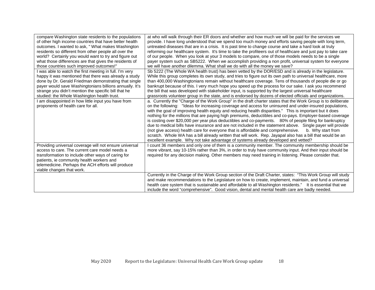| compare Washington state residents to the populations   | at who will walk through their ER doors and whether and how much we will be paid for the services we          |
|---------------------------------------------------------|---------------------------------------------------------------------------------------------------------------|
| of other high income countries that have better health  | provide. I have long understood that we spend too much money and efforts saving people with long term,        |
| outcomes. I wanted to ask, "What makes Washington       | untreated diseases that are in a crisis. It is past time to change course and take a hard look at truly       |
| residents so different from other people all over the   | reforming our healthcare system. It's time to take the profiteers out of healthcare and just pay to take care |
| world? Certainly you would want to try and figure out   | of our people. When you look at your 3 models to compare, one of those models needs to be a single            |
| what those differences are that gives the residents of  | payer system such as SB5222. When we accomplish providing a non profit, universal system for everyone         |
| those countries such improved outcomes!"                | we will have another dilemma. What shall we do with all the money we save?                                    |
| I was able to watch the first meeting in full. I'm very | Sb 5222 (The Whole WA health trust) has been vetted by the DOR/ESD and is already in the legislature.         |
| happy it was mentioned that there was already a study   | While this group completes its own study, and tries to figure out its own path to universal healthcare, more  |
| done by Dr. Gerald Friedman demonstrating that single   | than 400,000 Washingtonians remain without healthcare coverage. Tens of thousands of people die or go         |
| payer would save Washingtonians billions annually. It's | bankrupt because of this. I very much hope you speed up the process for our sake. I ask you recommend         |
| strange you didn't mention the specific bill that he    | the bill that was developed with stakeholder input, is supported by the largest universal healthcare          |
| studied: the Whole Washington health trust.             | grassroots volunteer group in the state, and is endorsed by dozens of elected officials and organizations.    |
| I am disappointed in how little input you have from     | a. Currently the "Charge of the Work Group" in the draft charter states that the Work Group is to deliberate  |
| proponents of health care for all.                      | on the following: "Ideas for increasing coverage and access for uninsured and under-insured populations,      |
|                                                         | with the goal of improving health equity and reducing health disparities." This is important but it does      |
|                                                         | nothing for the millions that are paying high premiums, deductibles and co-pays. Employer-based coverage      |
|                                                         | is costing over \$20,000 per year plus deductibles and co-payments. 80% of people filing for bankruptcy       |
|                                                         | due to medical bills have insurance and are not included in the statement above. Single payer will provide    |
|                                                         | (not give access) health care for everyone that is affordable and comprehensive.<br>b. Why start from         |
|                                                         | scratch. Whole WA has a bill already written that will work. Rep. Jayapal also has a bill that would be an    |
|                                                         | excellent example. Why not take advantage of systems already developed and vetted?                            |
| Providing universal coverage will not ensure universal  | I count 36 members and only one of them is a community member. The community membership should be             |
| access to care. The current care model needs a          | more vibrant, say 10-15% rather than 3%, in order to truly have community input. And their input should be    |
| transformation to include other ways of caring for      | required for any decision making. Other members may need training in listening. Please consider that.         |
| patients, ie community health workers and               |                                                                                                               |
| telemedicine. Perhaps the ACH efforts will produce      |                                                                                                               |
| viable changes that work.                               |                                                                                                               |
|                                                         | Currently in the Charge of the Work Group section of the Draft Charter, states: "This Work Group will study   |
|                                                         | and make recommendations to the Legislature on how to create, implement, maintain, and fund a universal       |
|                                                         | health care system that is sustainable and affordable to all Washington residents." It is essential that we   |
|                                                         | include the word "comprehensive". Good vision, dental and mental health care are badly needed.                |
|                                                         |                                                                                                               |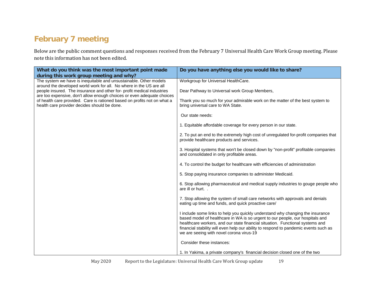### **February 7 meeting**

Below are the public comment questions and responses received from the February 7 Universal Health Care Work Group meeting. Please note this information has not been edited.

<span id="page-18-0"></span>

| What do you think was the most important point made<br>during this work group meeting and why?                                                                                                                                                                                                                                                     | Do you have anything else you would like to share?                                                                                                                                                                                                                                                                                                                                   |
|----------------------------------------------------------------------------------------------------------------------------------------------------------------------------------------------------------------------------------------------------------------------------------------------------------------------------------------------------|--------------------------------------------------------------------------------------------------------------------------------------------------------------------------------------------------------------------------------------------------------------------------------------------------------------------------------------------------------------------------------------|
| The system we have is inequitable and unsustainable. Other models                                                                                                                                                                                                                                                                                  | Workgroup for Universal HealthCare.                                                                                                                                                                                                                                                                                                                                                  |
| around the developed world work for all. No where in the US are all<br>people insured. The insurance and other for-profit medical industries<br>are too expensive, don't allow enough choices or even adequate choices<br>of health care provided. Care is rationed based on profits not on what a<br>health care provider decides should be done. | Dear Pathway to Universal work Group Members,                                                                                                                                                                                                                                                                                                                                        |
|                                                                                                                                                                                                                                                                                                                                                    | Thank you so much for your admirable work on the matter of the best system to<br>bring universal care to WA State.                                                                                                                                                                                                                                                                   |
|                                                                                                                                                                                                                                                                                                                                                    | Our state needs:                                                                                                                                                                                                                                                                                                                                                                     |
|                                                                                                                                                                                                                                                                                                                                                    | 1. Equitable affordable coverage for every person in our state.                                                                                                                                                                                                                                                                                                                      |
|                                                                                                                                                                                                                                                                                                                                                    | 2. To put an end to the extremely high cost of unregulated for-profit companies that<br>provide healthcare products and services.                                                                                                                                                                                                                                                    |
|                                                                                                                                                                                                                                                                                                                                                    | 3. Hospital systems that won't be closed down by "non-profit" profitable companies<br>and consolidated in only profitable areas.                                                                                                                                                                                                                                                     |
|                                                                                                                                                                                                                                                                                                                                                    | 4. To control the budget for healthcare with efficiencies of administration                                                                                                                                                                                                                                                                                                          |
|                                                                                                                                                                                                                                                                                                                                                    | 5. Stop paying insurance companies to administer Medicaid.                                                                                                                                                                                                                                                                                                                           |
|                                                                                                                                                                                                                                                                                                                                                    | 6. Stop allowing pharmaceutical and medical supply industries to gouge people who<br>are ill or hurt                                                                                                                                                                                                                                                                                 |
|                                                                                                                                                                                                                                                                                                                                                    | 7. Stop allowing the system of small care networks with approvals and denials<br>eating up time and funds, and quick proactive care/                                                                                                                                                                                                                                                 |
|                                                                                                                                                                                                                                                                                                                                                    | I include some links to help you quickly understand why changing the insurance<br>based model of healthcare in WA is so urgent to our people, our hospitals and<br>healthcare workers, and our state financial situation. Functional systems and<br>financial stability will even help our ability to respond to pandemic events such as<br>we are seeing with novel corona virus-19 |
|                                                                                                                                                                                                                                                                                                                                                    | Consider these instances:                                                                                                                                                                                                                                                                                                                                                            |
|                                                                                                                                                                                                                                                                                                                                                    | 1. In Yakima, a private company's financial decision closed one of the two                                                                                                                                                                                                                                                                                                           |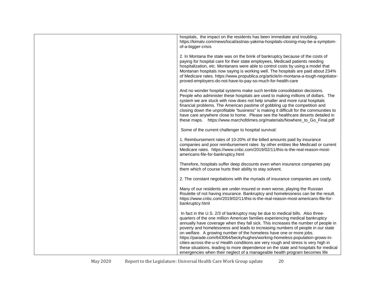| hospitals, the impact on the residents has been immediate and troubling.<br>https://kimatv.com/news/local/astrias-yakima-hospitals-closing-may-be-a-symptom-<br>of-a-bigger-crisis                                                                                                                                                                                                                                                                                                                                                                                                                                                                                                                                                                        |
|-----------------------------------------------------------------------------------------------------------------------------------------------------------------------------------------------------------------------------------------------------------------------------------------------------------------------------------------------------------------------------------------------------------------------------------------------------------------------------------------------------------------------------------------------------------------------------------------------------------------------------------------------------------------------------------------------------------------------------------------------------------|
| 2. In Montana the state was on the brink of bankruptcy because of the costs of<br>paying for hospital care for their state employees, Medicaid patients needing<br>hospitalization, etc. Montanans were able to control costs by using a model that<br>Montanan hospitals now saying is working well. The hospitals are paid about 234%<br>of Medicare rates. https://www.propublica.org/article/in-montana-a-tough-negotiator-<br>proved-employers-do-not-have-to-pay-so-much-for-health-care                                                                                                                                                                                                                                                            |
| And no wonder hospital systems make such terrible consolidation decisions.<br>People who administer these hospitals are used to making millions of dollars. The<br>system we are stuck with now does not help smaller and more rural hospitals<br>financial problems. The American pastime of gobbling up the competition and<br>closing down the unprofitable "business" is making it difficult for the communities to<br>have care anywhere close to home. Please see the healthcare deserts detailed in<br>these maps. https://www.marchofdimes.org/materials/Nowhere_to_Go_Final.pdf                                                                                                                                                                  |
| Some of the current challenger to hospital survival:                                                                                                                                                                                                                                                                                                                                                                                                                                                                                                                                                                                                                                                                                                      |
| 1. Reimbursement rates of 10-20% of the billed amounts paid by insurance<br>companies and poor reimbursement rates by other entities like Medicaid or current<br>Medicare rates. https://www.cnbc.com/2019/02/11/this-is-the-real-reason-most-<br>americans-file-for-bankruptcy.html                                                                                                                                                                                                                                                                                                                                                                                                                                                                      |
| Therefore, hospitals suffer deep discounts even when insurance companies pay<br>them which of course hurts their ability to stay solvent.                                                                                                                                                                                                                                                                                                                                                                                                                                                                                                                                                                                                                 |
| 2. The constant negotiations with the myriads of insurance companies are costly.                                                                                                                                                                                                                                                                                                                                                                                                                                                                                                                                                                                                                                                                          |
| Many of our residents are under-insured or even worse, playing the Russian<br>Roulette of not having insurance. Bankruptcy and homelessness can be the result.<br>https://www.cnbc.com/2019/02/11/this-is-the-real-reason-most-americans-file-for-<br>bankruptcy.html                                                                                                                                                                                                                                                                                                                                                                                                                                                                                     |
| In fact in the U.S. 2/3 of bankruptcy may be due to medical bills. Also three-<br>quarters of the one million American families experiencing medical bankruptcy<br>annually have coverage when they fall sick. This increases the number of people in<br>poverty and homelessness and leads to increasing numbers of people in our state<br>on welfare. A growing number of the homeless have one or more jobs.<br>https://parade.com/643064/beckyhughes/working-homeless-population-grows-in-<br>cities-across-the-u-s/ Health conditions are very rough and stress is very high in<br>these situations, leading to more dependence on the state and hospitals for medical<br>emergencies when their neglect of a manageable health program becomes life |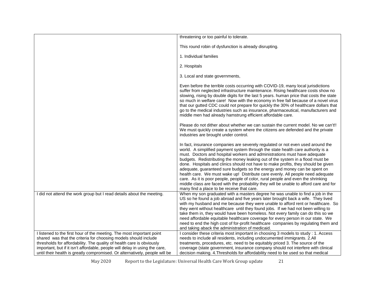|                                                                                                                                                                                                                                                                                                                                                                                 | threatening or too painful to tolerate.                                                                                                                                                                                                                                                                                                                                                                                                                                                                                                                                                                                                                                                                                                                                                                           |
|---------------------------------------------------------------------------------------------------------------------------------------------------------------------------------------------------------------------------------------------------------------------------------------------------------------------------------------------------------------------------------|-------------------------------------------------------------------------------------------------------------------------------------------------------------------------------------------------------------------------------------------------------------------------------------------------------------------------------------------------------------------------------------------------------------------------------------------------------------------------------------------------------------------------------------------------------------------------------------------------------------------------------------------------------------------------------------------------------------------------------------------------------------------------------------------------------------------|
|                                                                                                                                                                                                                                                                                                                                                                                 | This round robin of dysfunction is already disrupting.                                                                                                                                                                                                                                                                                                                                                                                                                                                                                                                                                                                                                                                                                                                                                            |
|                                                                                                                                                                                                                                                                                                                                                                                 | 1. Individual families                                                                                                                                                                                                                                                                                                                                                                                                                                                                                                                                                                                                                                                                                                                                                                                            |
|                                                                                                                                                                                                                                                                                                                                                                                 | 2. Hospitals                                                                                                                                                                                                                                                                                                                                                                                                                                                                                                                                                                                                                                                                                                                                                                                                      |
|                                                                                                                                                                                                                                                                                                                                                                                 | 3. Local and state governments,                                                                                                                                                                                                                                                                                                                                                                                                                                                                                                                                                                                                                                                                                                                                                                                   |
|                                                                                                                                                                                                                                                                                                                                                                                 | Even before the terrible costs occurring with COVID-19, many local jurisdictions<br>suffer from neglected infrastructure maintenance. Rising healthcare costs show no<br>slowing, rising by double digits for the last 5 years. human price that costs the state<br>so much in welfare care! Now with the economy in free fall because of a novel virus<br>that our gutted CDC could not prepare for quickly the 30% of healthcare dollars that<br>go to the medical industries such as insurance, pharmaceutical, manufacturers and<br>middle men had already hamstrung efficient affordable care.                                                                                                                                                                                                               |
|                                                                                                                                                                                                                                                                                                                                                                                 | Please do not dither about whether we can sustain the current model. No we can't!!<br>We must quickly create a system where the citizens are defended and the private<br>industries are brought under control.                                                                                                                                                                                                                                                                                                                                                                                                                                                                                                                                                                                                    |
|                                                                                                                                                                                                                                                                                                                                                                                 | In fact, insurance companies are severely regulated or not even used around the<br>world. A simplified payment system through the state health care authority is a<br>must. Doctors and hospital workers and administrations must have adequate<br>budgets. Redistributing the money leaking out of the system in a flood must be<br>done. Hospitals and clinics should not have to make profits, they should be given<br>adequate, guaranteed sure budgets so the energy and money can be spent on<br>health care. We must wake up! Distribute care evenly. All people need adequate<br>care. As it is poor people, people of color, rural people and even the shrinking<br>middle class are faced with the probability they will be unable to afford care and for<br>many find a place to be receive that care. |
| I did not attend the work group but I read details about the meeting.                                                                                                                                                                                                                                                                                                           | When my son graduated with a masters degree he was unable to find a job in the<br>US so he found a job abroad and five years later brought back a wife. They lived<br>with my husband and me because they were unable to afford rent or healthcare. So<br>they went without healthcare until they found jobs. If we had not been willing to<br>take them in, they would have been homeless. Not every family can do this so we<br>need affordable equitable healthcare coverage for every person in our state. We<br>need to end the high cost of for-profit healthcare companies by regulating them and<br>and taking aback the administration of medicaid.                                                                                                                                                      |
| I listened to the first hour of the meeting. The most important point<br>shared was that the criteria for choosing models should include<br>thresholds for affordability. The quality of health care is obviously<br>important, but if it isn't affordable, people will delay in using the care,<br>until their health is greatly compromised. Or alternatively, people will be | I consider these criteria most important in choosing 3 models to study : 1. Access<br>needs to include all residents, including undocumented immigrants. 2.All<br>treatments, procedures, etc. need to be equitably priced 3. The source of the<br>coverage (state government, insurance company should not interfere with clinical<br>decision making. 4. Thresholds for affordability need to be used so that medical                                                                                                                                                                                                                                                                                                                                                                                           |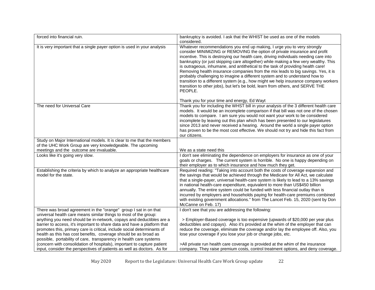| forced into financial ruin.                                                                                                                                                                                                                                                                                                                                                                                                                                                                                   | bankruptcy is avoided. I ask that the WHIST be used as one of the models<br>considered.                                                                                                                                                                                                                                                                                                                                                                                                                                                                                                                                                                                                                                                                                                                                        |
|---------------------------------------------------------------------------------------------------------------------------------------------------------------------------------------------------------------------------------------------------------------------------------------------------------------------------------------------------------------------------------------------------------------------------------------------------------------------------------------------------------------|--------------------------------------------------------------------------------------------------------------------------------------------------------------------------------------------------------------------------------------------------------------------------------------------------------------------------------------------------------------------------------------------------------------------------------------------------------------------------------------------------------------------------------------------------------------------------------------------------------------------------------------------------------------------------------------------------------------------------------------------------------------------------------------------------------------------------------|
| It is very important that a single payer option is used in your analysis                                                                                                                                                                                                                                                                                                                                                                                                                                      | Whatever recommendations you end up making, I urge you to very strongly<br>consider MINIMIZING or REMOVING the option of private insurance and profit<br>incentive. This is destroying our health care, driving individuals needing care into<br>bankruptcy (or just skipping care altogether) while making a few very wealthy. This<br>is outrageous, inhumane, and antithetical to the task of providing health care!<br>Removing health insurance companies from the mix leads to big savings. Yes, it is<br>probably challenging to imagine a different system and to understand how to<br>transition to a different system (e.g., how might we help insurance company workers<br>transition to other jobs), but let's be bold, learn from others, and SERVE THE<br>PEOPLE.<br>Thank you for your time and energy, Ed Wayt |
| The need for Universal Care                                                                                                                                                                                                                                                                                                                                                                                                                                                                                   | Thank you for including the WHST bill in your analysis of the 3 different health care                                                                                                                                                                                                                                                                                                                                                                                                                                                                                                                                                                                                                                                                                                                                          |
|                                                                                                                                                                                                                                                                                                                                                                                                                                                                                                               | models. It would be an incomplete comparison if that bill was not one of the chosen<br>models to compare. I am sure you would not want your work to be considered<br>incomplete by leaving out this plan which has been presented to our legislatures<br>since 2013 and never received a hearing. Around the world a single payer option<br>has proven to be the most cost effective. We should not try and hide this fact from<br>our citizens.                                                                                                                                                                                                                                                                                                                                                                               |
| Study on Major International models. It is clear to me that the members                                                                                                                                                                                                                                                                                                                                                                                                                                       |                                                                                                                                                                                                                                                                                                                                                                                                                                                                                                                                                                                                                                                                                                                                                                                                                                |
| of the UHC Work Group are very knowledgeable. The upcoming                                                                                                                                                                                                                                                                                                                                                                                                                                                    |                                                                                                                                                                                                                                                                                                                                                                                                                                                                                                                                                                                                                                                                                                                                                                                                                                |
| meetings and the outcome are invaluable.                                                                                                                                                                                                                                                                                                                                                                                                                                                                      | We as a state need this                                                                                                                                                                                                                                                                                                                                                                                                                                                                                                                                                                                                                                                                                                                                                                                                        |
| Looks like it's going very slow.                                                                                                                                                                                                                                                                                                                                                                                                                                                                              | I don't see eliminating the dependence on employers for insurance as one of your<br>goals or charges. The current system is horrible. No one is happy depending on<br>their employer as to which insurance and how much they get.                                                                                                                                                                                                                                                                                                                                                                                                                                                                                                                                                                                              |
| Establishing the criteria by which to analyze an appropriate healthcare<br>model for the state.                                                                                                                                                                                                                                                                                                                                                                                                               | Required reading: "Taking into account both the costs of coverage expansion and<br>the savings that would be achieved through the Medicare for All Act, we calculate<br>that a single-payer, universal health-care system is likely to lead to a 13% savings<br>in national health-care expenditure, equivalent to more than US\$450 billion<br>annually. The entire system could be funded with less financial outlay than is<br>incurred by employers and households paying for health-care premiums combined<br>with existing government allocations." from The Lancet Feb. 15, 2020 (sent by Don<br>McCanne on Feb. 17)                                                                                                                                                                                                    |
| There was broad agreement in the "orange" group I sat in on that<br>universal health care means similar things to most of the group:<br>anything you need should be in-network, copays and deductibles are a<br>barrier to access, it's important to share data and have a platform that<br>promotes this, primary care is critical, include social determinants of<br>health as this has cost benefits, coverage should be as broad as<br>possible, portability of care, transparency in health care systems | I don't see that you are addressing the following:<br>> Employer-Based coverage is too expensive (upwards of \$20,000 per year plus<br>deductibles and copays). Also it's provided at the whim of the employer that can<br>reduce the coverage, eliminate the coverage and/or lay the employee off. Also, you<br>lose your coverage if you lose your job or change jobs, etc.                                                                                                                                                                                                                                                                                                                                                                                                                                                  |
| (concern with consolidation of hospitals), important to capture patient<br>input, consider the perspectives of patients as well as doctors. As for                                                                                                                                                                                                                                                                                                                                                            | >All private run health care coverage is provided at the whim of the insurance<br>company. They raise premium costs, control treatment options, and deny coverage.                                                                                                                                                                                                                                                                                                                                                                                                                                                                                                                                                                                                                                                             |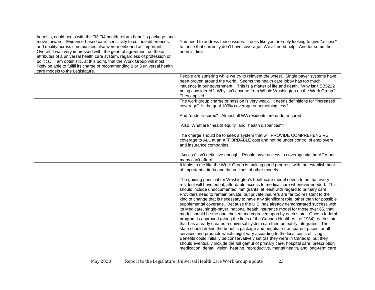| benefits, could begin with the '93-'94 health reform benefits package and<br>move forward. Evidence-based care, sensitivity to cultural differences,<br>and quality across communities also were mentioned as important.<br>Overall, I was very impressed with the general agreement on these<br>attributes of a universal health care system, regardless of profession or<br>politics. I am optimistic, at this point, that the Work Group will most<br>likely be able to fulfill its charge of recommending 2 or 3 universal health<br>care models to the Legislature. | You need to address these issues. Looks like you are only looking to give "access"<br>to those that currently don't have coverage. We all need help. And for some the<br>need is dire.                                                                                                                                                                                                                                                                                                                                                                                                                                                                                                                                                                                                                                                                                                                                                                                                                                                                                                                                                                                                                                                                                                                               |
|--------------------------------------------------------------------------------------------------------------------------------------------------------------------------------------------------------------------------------------------------------------------------------------------------------------------------------------------------------------------------------------------------------------------------------------------------------------------------------------------------------------------------------------------------------------------------|----------------------------------------------------------------------------------------------------------------------------------------------------------------------------------------------------------------------------------------------------------------------------------------------------------------------------------------------------------------------------------------------------------------------------------------------------------------------------------------------------------------------------------------------------------------------------------------------------------------------------------------------------------------------------------------------------------------------------------------------------------------------------------------------------------------------------------------------------------------------------------------------------------------------------------------------------------------------------------------------------------------------------------------------------------------------------------------------------------------------------------------------------------------------------------------------------------------------------------------------------------------------------------------------------------------------|
|                                                                                                                                                                                                                                                                                                                                                                                                                                                                                                                                                                          | People are suffering while we try to reinvent the wheel. Single payer systems have<br>been proven around the world. Seems the health care lobby has too much<br>influence in our government. This is a matter of life and death. Why isn't SB5222<br>being considered? Why isn't anyone from Whole Washington on the Work Group?<br>They applied.                                                                                                                                                                                                                                                                                                                                                                                                                                                                                                                                                                                                                                                                                                                                                                                                                                                                                                                                                                    |
|                                                                                                                                                                                                                                                                                                                                                                                                                                                                                                                                                                          | The work group charge or mission is very weak. It needs definitions for "increased<br>coverage". Is the goal 100% coverage or something less?                                                                                                                                                                                                                                                                                                                                                                                                                                                                                                                                                                                                                                                                                                                                                                                                                                                                                                                                                                                                                                                                                                                                                                        |
|                                                                                                                                                                                                                                                                                                                                                                                                                                                                                                                                                                          | And "under-insured" Almost all WA residents are under-insured.                                                                                                                                                                                                                                                                                                                                                                                                                                                                                                                                                                                                                                                                                                                                                                                                                                                                                                                                                                                                                                                                                                                                                                                                                                                       |
|                                                                                                                                                                                                                                                                                                                                                                                                                                                                                                                                                                          | Also, What are "health equity" and "health disparities"?                                                                                                                                                                                                                                                                                                                                                                                                                                                                                                                                                                                                                                                                                                                                                                                                                                                                                                                                                                                                                                                                                                                                                                                                                                                             |
|                                                                                                                                                                                                                                                                                                                                                                                                                                                                                                                                                                          | The charge should be to seek a system that will PROVIDE COMPREHENSIVE<br>coverage to ALL at an AFFORDABLE cost and not be under control of employers<br>and insurance companies.                                                                                                                                                                                                                                                                                                                                                                                                                                                                                                                                                                                                                                                                                                                                                                                                                                                                                                                                                                                                                                                                                                                                     |
|                                                                                                                                                                                                                                                                                                                                                                                                                                                                                                                                                                          | "Access" isn't definitive enough. People have access to coverage via the ACA but<br>many can't afford it.                                                                                                                                                                                                                                                                                                                                                                                                                                                                                                                                                                                                                                                                                                                                                                                                                                                                                                                                                                                                                                                                                                                                                                                                            |
|                                                                                                                                                                                                                                                                                                                                                                                                                                                                                                                                                                          | It looks to me like the Work Group is making good progress with the establishment<br>of important criteria and the outlines of other models.                                                                                                                                                                                                                                                                                                                                                                                                                                                                                                                                                                                                                                                                                                                                                                                                                                                                                                                                                                                                                                                                                                                                                                         |
|                                                                                                                                                                                                                                                                                                                                                                                                                                                                                                                                                                          | The guiding principal for Washington's healthcare model needs to be that every<br>resident will have equal, affordable access to medical care whenever needed. This<br>should include undocumented immigrants, at least with regard to primary care.<br>Providers need to remain private, but private insurers are far too resistant to the<br>kind of change that is necessary to have any significant role, other than for possible<br>supplemental coverage. Because the U.S. has already demonstrated success with<br>its Medicare, single-payer, national health insurance model for those over 65, that<br>model should be the one chosen and improved upon by each state. Once a federal<br>program is approved (along the lines of the Canada Health Act of 1984), each state<br>that has already created a universal system can then be easily integrated. The<br>state should define the benefits package and negotiate transparent prices for all<br>services and products which might vary according to the local costs of living.<br>Benefits could initially be conservatively set (as they were in Canada), but they<br>should eventually include the full gamut of primary care, hospital care, prescription<br>medication, dental, vision, hearing, reproductive, mental health, and long-term care |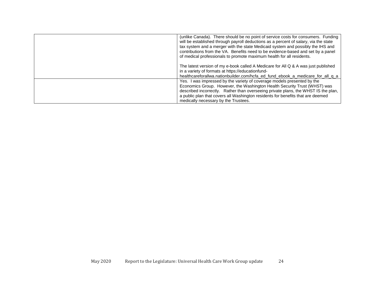| (unlike Canada). There should be no point of service costs for consumers. Funding<br>will be established through payroll deductions as a percent of salary, via the state<br>tax system and a merger with the state Medicaid system and possibly the IHS and<br>contributions from the VA. Benefits need to be evidence-based and set by a panel                      |
|-----------------------------------------------------------------------------------------------------------------------------------------------------------------------------------------------------------------------------------------------------------------------------------------------------------------------------------------------------------------------|
| of medical professionals to promote maximum health for all residents.<br>The latest version of my e-book called A Medicare for All Q & A was just published<br>in a variety of formats at https://educationfund-<br>healthcareforallwa.nationbuilder.com/hcfa_ed_fund_ebook_a_medicare_for_all_q_a                                                                    |
| Yes. I was impressed by the variety of coverage models presented by the<br>Economics Group. However, the Washington Health Security Trust (WHST) was<br>described incorrectly. Rather than overseeing private plans, the WHST IS the plan,<br>a public plan that covers all Washington residents for benefits that are deemed<br>medically necessary by the Trustees. |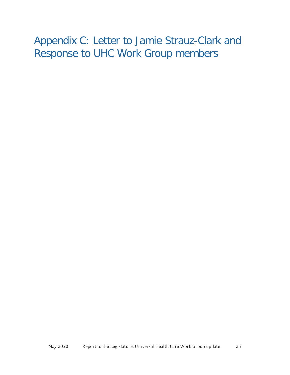## <span id="page-24-0"></span>Appendix C: Letter to Jamie Strauz-Clark and Response to UHC Work Group members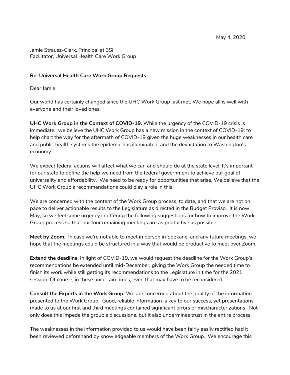Jamie Strausz-Clark, Principal at 3Si Facilitator, Universal Health Care Work Group

#### **Re: Universal Health Care Work Group Requests**

Dear Jamie,

Our world has certainly changed since the UHC Work Group last met. We hope all is well with everyone and their loved ones.

**UHC Work Group in the Context of COVID-19.** While the urgency of the COVID-19 crisis is immediate, we believe the UHC Work Group has a new mission in the context of COVID-19: to help chart the way for the aftermath of COVID-19 given the huge weaknesses in our health care and public health systems the epidemic has illuminated, and the devastation to Washington's economy.

We expect federal actions will affect what we can and should do at the state level. It's important for our state to define the help we need from the federal government to achieve our goal of universality and affordability. We need to be ready for opportunities that arise. We believe that the UHC Work Group's recommendations could play a role in this.

We are concerned with the content of the Work Group process, to date, and that we are not on pace to deliver actionable results to the Legislature as directed in the Budget Proviso. It is now May, so we feel some urgency in offering the following suggestions for how to improve the Work Group process so that our four remaining meetings are as productive as possible.

**Meet by Zoom.** In case we're not able to meet in person in Spokane, and any future meetings, we hope that the meetings could be structured in a way that would be productive to meet over Zoom.

**Extend the deadline**. In light of COVID-19, we would request the deadline for the Work Group's recommendations be extended until mid-December, giving the Work Group the needed time to finish its work while still getting its recommendations to the Legislature in time for the 2021 session. Of course, in these uncertain times, even that may have to be reconsidered.

**Consult the Experts in the Work Group.** We are concerned about the quality of the information presented to the Work Group. Good, reliable information is key to our success, yet presentations made to us at our first and third meetings contained significant errors or mischaracterizations. Not only does this impede the group's discussions, but it also undermines trust in the entire process.

The weaknesses in the information provided to us would have been fairly easily rectified had it been reviewed beforehand by knowledgeable members of the Work Group. We encourage this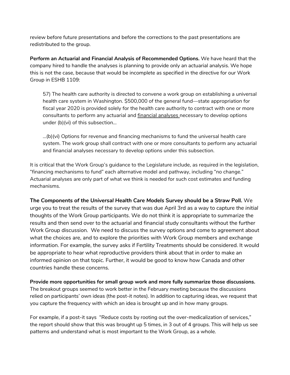review before future presentations and before the corrections to the past presentations are redistributed to the group.

**Perform an Actuarial and Financial Analysis of Recommended Options.** We have heard that the company hired to handle the analyses is planning to provide *only* an actuarial analysis. We hope this is not the case, because that would be incomplete as specified in the directive for our Work Group in ESHB 1109:

57) The health care authority is directed to convene a work group on establishing a universal health care system in Washington. \$500,000 of the general fund—state appropriation for fiscal year 2020 is provided solely for the health care authority to contract with one or more consultants to perform any actuarial and **financial analyses** necessary to develop options under (b)(vi) of this subsection...

 $...(b)(vi)$  Options for revenue and financing mechanisms to fund the universal health care system. The work group shall contract with one or more consultants to perform any actuarial and financial analyses necessary to develop options under this subsection.

It is critical that the Work Group's guidance to the Legislature include, as required in the legislation, "financing mechanisms to fund" each alternative model and pathway, including "no change." Actuarial analyses are only part of what we think is needed for such cost estimates and funding mechanisms.

**The** *Components of the Universal Health Care Models* **Survey should be a Straw Poll.** We urge you to treat the results of the survey that was due April 3rd as a way to capture *the initial* thoughts of the Work Group participants. We do not think it is appropriate to summarize the results and then send over to the actuarial and financial study consultants without the further Work Group discussion. We need to discuss the survey options and come to agreement about what the choices are, and to explore the priorities with Work Group members and exchange information. For example, the survey asks if Fertility Treatments should be considered. It would be appropriate to hear what reproductive providers think about that in order to make an informed opinion on that topic. Further, it would be good to know how Canada and other countries handle these concerns.

**Provide more opportunities for small group work and more fully summarize those discussions.** The breakout groups seemed to work better in the February meeting because the discussions relied on participants' own ideas (the post-it notes). In addition to capturing ideas, we request that you capture the frequency with which an idea is brought up and in how many groups.

For example, if a post-it says "Reduce costs by rooting out the over-medicalization of services," the report should show that this was brought up 5 times, in 3 out of 4 groups. This will help us see patterns and understand what is most important to the Work Group, as a whole.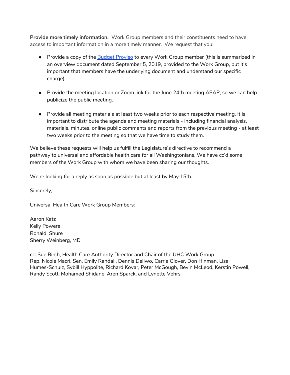**Provide more timely information.** Work Group members and their constituents need to have access to important information in a more timely manner. We request that you:

- Provide a copy of the [B](https://docs.google.com/document/d/1uW_GxZNmDelvrWi-8JspGJlD7xe1zDUgprtFpn2C6eU/edit#heading=h.rvx2ntzigpe)udget [Proviso](https://docs.google.com/document/d/1uW_GxZNmDelvrWi-8JspGJlD7xe1zDUgprtFpn2C6eU/edit#heading=h.rvx2ntzigpe) to every Work Group member (this is summarized in an overview document dated September 5, 2019, provided to the Work Group, but it's important that members have the underlying document and understand our specific charge).
- Provide the meeting location or Zoom link for the June 24th meeting ASAP, so we can help publicize the public meeting.
- Provide all meeting materials at least two weeks prior to each respective meeting. It is important to distribute the agenda and meeting materials - including financial analysis, materials, minutes, online public comments and reports from the previous meeting - at least two weeks prior to the meeting so that we have time to study them.

We believe these requests will help us fulfill the Legislature's directive to recommend a pathway to universal and affordable health care for all Washingtonians. We have cc'd some members of the Work Group with whom we have been sharing our thoughts.

We're looking for a reply as soon as possible but at least by May 15th.

Sincerely,

Universal Health Care Work Group Members:

Aaron Katz Kelly Powers Ronald Shure Sherry Weinberg, MD

cc: Sue Birch, Health Care Authority Director and Chair of the UHC Work Group Rep. Nicole Macri, Sen. Emily Randall, Dennis Dellwo, Carrie Glover, Don Hinman, Lisa Humes-Schulz, Sybill Hyppolite, Richard Kovar, Peter McGough, Bevin McLeod, Kerstin Powell, Randy Scott, Mohamed Shidane, Aren Sparck, and Lynette Vehrs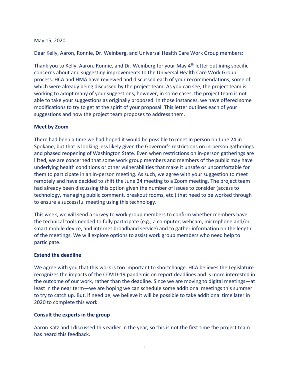#### May 15, 2020

Dear Kelly, Aaron, Ronnie, Dr. Weinberg, and Universal Health Care Work Group members:

Thank you to Kelly, Aaron, Ronnie, and Dr. Weinberg for your May 4<sup>th</sup> letter outlining specific concerns about and suggesting improvements to the Universal Health Care Work Group process. HCA and HMA have reviewed and discussed each of your recommendations, some of which were already being discussed by the project team. As you can see, the project team is working to adopt many of your suggestions; however, in some cases, the project team is not able to take your suggestions as originally proposed. In those instances, we have offered some modifications to try to get at the spirit of your proposal. This letter outlines each of your suggestions and how the project team proposes to address them.

#### Meet by Zoom

There had been a time we had hoped it would be possible to meet in person on June 24 in Spokane, but that is looking less likely given the Governor's restrictions on in-person gatherings and phased reopening of Washington State. Even when restrictions on in-person gatherings are lifted, we are concerned that some work group members and members of the public may have underlying health conditions or other vulnerabilities that make it unsafe or uncomfortable for them to participate in an in-person meeting. As such, we agree with your suggestion to meet remotely and have decided to shift the June 24 meeting to a Zoom meeting. The project team had already been discussing this option given the number of issues to consider (access to technology, managing public comment, breakout rooms, etc.) that need to be worked through to ensure a successful meeting using this technology.

This week, we will send a survey to work group members to confirm whether members have the technical tools needed to fully participate (e.g., a computer, webcam, microphone and/or smart mobile device, and internet broadband service) and to gather information on the length of the meetings. We will explore options to assist work group members who need help to participate.

#### Extend the deadline

We agree with you that this work is too important to shortchange. HCA believes the Legislature recognizes the impacts of the COVID-19 pandemic on report deadlines and is more interested in the outcome of our work, rather than the deadline. Since we are moving to digital meetings—at least in the near term—we are hoping we can schedule some additional meetings this summer to try to catch up. But, if need be, we believe it will be possible to take additional time later in 2020 to complete this work.

#### Consult the experts in the group

Aaron Katz and I discussed this earlier in the year, so this is not the first time the project team has heard this feedback.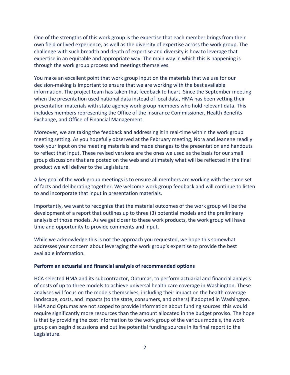One of the strengths of this work group is the expertise that each member brings from their own field or lived experience, as well as the diversity of expertise across the work group. The challenge with such breadth and depth of expertise and diversity is how to leverage that expertise in an equitable and appropriate way. The main way in which this is happening is through the work group process and meetings themselves.

You make an excellent point that work group input on the materials that we use for our decision-making is important to ensure that we are working with the best available information. The project team has taken that feedback to heart. Since the September meeting when the presentation used national data instead of local data, HMA has been vetting their presentation materials with state agency work group members who hold relevant data. This includes members representing the Office of the Insurance Commissioner, Health Benefits Exchange, and Office of Financial Management.

Moreover, we are taking the feedback and addressing it in real-time within the work group meeting setting. As you hopefully observed at the February meeting, Nora and Jeanene readily took your input on the meeting materials and made changes to the presentation and handouts to reflect that input. These revised versions are the ones we used as the basis for our small group discussions that are posted on the web and ultimately what will be reflected in the final product we will deliver to the Legislature.

A key goal of the work group meetings is to ensure all members are working with the same set of facts and deliberating together. We welcome work group feedback and will continue to listen to and incorporate that input in presentation materials.

Importantly, we want to recognize that the material outcomes of the work group will be the development of a report that outlines up to three (3) potential models and the preliminary analysis of those models. As we get closer to these work products, the work group will have time and opportunity to provide comments and input.

While we acknowledge this is not the approach you requested, we hope this somewhat addresses your concern about leveraging the work group's expertise to provide the best available information.

#### Perform an actuarial and financial analysis of recommended options

HCA selected HMA and its subcontractor, Optumas, to perform actuarial and financial analysis of costs of up to three models to achieve universal health care coverage in Washington. These analyses will focus on the models themselves, including their impact on the health coverage landscape, costs, and impacts (to the state, consumers, and others) if adopted in Washington. HMA and Optumas are not scoped to provide information about funding sources: this would require significantly more resources than the amount allocated in the budget proviso. The hope is that by providing the cost information to the work group of the various models, the work group can begin discussions and outline potential funding sources in its final report to the Legislature.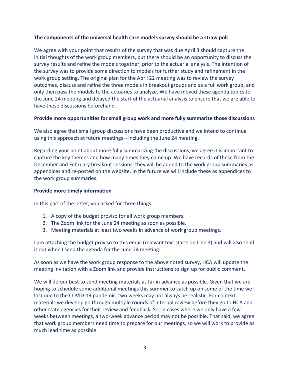#### The components of the universal health care models survey should be a straw poll

We agree with your point that results of the survey that was due April 3 should capture the initial thoughts of the work group members, but there should be an opportunity to discuss the survey results and refine the models together, prior to the actuarial analysis. The intention of the survey was to provide some direction to models for further study and refinement in the work group setting. The original plan for the April 22 meeting was to review the survey outcomes, discuss and refine the three models in breakout groups and as a full work group, and only then pass the models to the actuaries to analyze. We have moved these agenda topics to the June 24 meeting and delayed the start of the actuarial analysis to ensure that we are able to have these discussions beforehand.

#### Provide more opportunities for small group work and more fully summarize those discussions

We also agree that small group discussions have been productive and we intend to continue using this approach at future meetings—including the June 24 meeting.

Regarding your point about more fully summarizing the discussions, we agree it is important to capture the key themes and how many times they come up. We have records of these from the December and February breakout sessions; they will be added to the work group summaries as appendices and re-posted on the website. In the future we will include these as appendices to the work group summaries.

#### Provide more timely information

In this part of the letter, you asked for three things:

- 1. A copy of the budget proviso for all work group members.
- 2. The Zoom link for the June 24 meeting as soon as possible.
- 3. Meeting materials at least two weeks in advance of work group meetings.

I am attaching the budget proviso to this email (relevant text starts on Line 3) and will also send it out when I send the agenda for the June 24 meeting.

As soon as we have the work group response to the above noted survey, HCA will update the meeting invitation with a Zoom link and provide instructions to sign up for public comment.

We will do our best to send meeting materials as far in advance as possible. Given that we are hoping to schedule some additional meetings this summer to catch up on some of the time we lost due to the COVID-19 pandemic, two weeks may not always be realistic. For context, materials we develop go through multiple rounds of internal review before they go to HCA and other state agencies for their review and feedback. So, in cases where we only have a few weeks between meetings, a two-week advance period may not be possible. That said, we agree that work group members need time to prepare for our meetings, so we will work to provide as much lead time as possible.